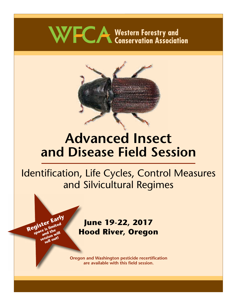# WFCA Western Forestry and<br>
Conservation Association



## **Advanced Insect and Disease Field Session**

## Identification, Life Cycles, Control Measures and Silvicultural Regimes

## **June 19-22, 2017 Hood River, Oregon**

**Register Early** 

**gistel**<br>space is limited<br>session will<br>sessio out!

ssion<sub>out!</sub>

**Oregon and Washington pesticide recertification are available with this field session.**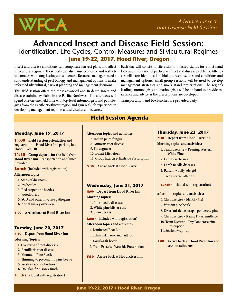

## **Advanced Insect and Disease Field Session:** Identification, Life Cycles, Control Measures and Silvicultural Regimes  **June 19-22, 2017, Hood River, Oregon**

Insect and disease conditions can complicate harvest plans and affect silvicultural regimes. These pests can also cause economic and aesthetic damages with long-lasting consequences. Resource managers need a solid understanding of pest biology and management options to make informed silvicultural, harvest planning and management decisions.

This field session offers the most advanced and in-depth insect and disease training available in the Pacific Northwest. The attendees will spend one-on-one field time with top-level entomologists and pathologists from the Pacific Northwest region and gain real-life experience in developing management regimes and silvicultural measures.

Each day will consist of site visits to infected stands for a first-hand look and discussion of particular insect and disease problems. Attendees will learn identification, biology, response to stand conditions and management options. Small group sessions will be used to develop management strategies and mock stand prescriptions. The region's leading entomologists and pathologists will be on hand to provide assistance and advice as the prescriptions are developed.

Transportation and box lunches are provided daily.

#### **Monday, June 19, 2017**

**11:00 Field Session orientation and registration –** Hood River Inn parking lot, Hood River, OR

**11:30 Group departs for the field from Hood River Inn.** Transportation and lunch provided.

**Lunch** (included with registration)

#### **Afternoon topics:**

- 1. Steps of diagnosis
- 2. Ips beetles
- 3. Red turpentine beetles
- 4. Woodborers
- 5. SOD and other invasive pathogens
- 6. Aerial survey overview

#### **5:00 Arrive back at Hood River Inn**

#### **Tuesday, June 20, 2017**

**7:30 Depart from Hood River Inn Morning Topics:**

- 1. Overview of root diseases
- 2. Armillaria root disease
- 3. Mountain Pine Beetle
- 4. Thinning to prevent mt. pine beetle
- 5. Western spruce budworm
- 6. Douglas-fir tussock moth

#### **Lunch** (included with registration)

## **Field Session Agenda**

- **Afternoon topics and activities:**
	- 7. Indian paint fungus
	- 8. Annosus root disease
	- 9. Fir engraver
	- 10. Dwarf Mistletoes
- 11. Group Exercise- Eastside Prescription
- **5:30 Arrive back at Hood River Inn**

#### **Wednesday, June 21, 2017**

**8:00 Depart from Hood River Inn Morning topics:**

- 1. Pine needle diseases
- 2. White pine blister rust
- 3. Stem decays

**Lunch** (included with registration)

#### **Afternoon topics and activities:**

- 4. Laminated Root Rot
- 5. Schweinitzii root and butt rot
- 6. Douglas-fir beetle
- 7. Team Exercise- Westside Prescription

**5:30 Arrive back at Hood River Inn** 

#### **Thursday, June 22, 2017**

**7:30 Depart from Hood River Inn Morning topics and activities:**

- 1. Team Exercise Pruning Western White Pine
- 2. Larch casebearer
- 3. Larch needle diseases
- 4. Balsam woolly adelgid
- 5. Tree survival after fire
- **Lunch** (included with registration)

#### **Afternoon topics and activities:**

- 6. Class Exercise Identify Me!
- 7. Western pine beetle
- 8. Dwarf mistletoe recap ponderosa pine
- 9. Class Exercise Rating Dwarf mistletoe
- 10. Team Exercise Dry Ponderosa pine
- **Prescription**
- 11. Session wrap up

**5:00 Arrive back at Hood River Inn and session adjourns.**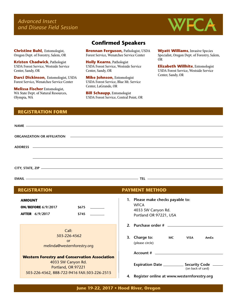*Advanced Insect and Disease Field Session*



**Christine Buhl,** Entomologist, Oregon Dept. of Forestry, Salem, OR

**Kristen Chadwick**, Pathologist USDA Forest Service, Westside Service Center, Sandy, OR

**Darci Dickinson,** Entomologist, USDA Forest Service, Wenatchee Service Center

**Melissa Fischer** Entomologist, WA State Dept. of Natural Resources, Olympia, WA

#### **Confirmed Speakers**

**Brennan Ferguson,** Pathologist, USDA Forest Service, Wenatchee Service Center

**Holly Kearns**, Pathologist USDA Forest Service, Westside Service Center, Sandy, OR

**Mike Johnson,** Entomologist USDA Forest Service, Blue Mt. Service Center, LaGrande, OR

**Bill Schaupp**, Entomologist USDA Forest Service, Central Point, OR **Wyatt Williams**, Invasive Species Specialist, Oregon Dept. of Forestry, Salem, OR

**Elizabeth Willhite**, Entomologist USDA Forest Service, Westside Service Center, Sandy, OR

#### **REGISTRATION FORM**

| <b>REGISTRATION</b>                                                                     | <b>PAYMENT METHOD</b>                                                                            |
|-----------------------------------------------------------------------------------------|--------------------------------------------------------------------------------------------------|
| <b>AMOUNT</b><br><b>ON/BEFORE 6/9/2017</b><br>\$675<br><b>AFTER</b> 6/9/2017<br>\$745   | 1. Please make checks payable to:<br><b>WFCA</b><br>4033 SW Canyon Rd.<br>Portland OR 97221, USA |
| Call:<br>503-226-4562<br><b>or</b><br>melinda@westernforestry.org                       | 3. Charge to:<br><b>MC</b><br><b>VISA</b><br>AmEx<br>(please circle)                             |
| <b>Western Forestry and Conservation Association</b>                                    |                                                                                                  |
| 4033 SW Canyon Rd.<br>Portland, OR 97221<br>503-226-4562, 888-722-9416 FAX:503-226-2515 | Expiration Date ________________ Security Code<br>(on back of card)                              |
|                                                                                         | Register online at www.westernforestry.org<br>4.                                                 |

**June 19-22, 2017 • Hood River, Oregon**